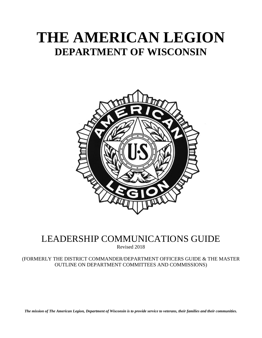# **THE AMERICAN LEGION DEPARTMENT OF WISCONSIN**



# LEADERSHIP COMMUNICATIONS GUIDE

Revised 2018

(FORMERLY THE DISTRICT COMMANDER/DEPARTMENT OFFICERS GUIDE & THE MASTER OUTLINE ON DEPARTMENT COMMITTEES AND COMMISSIONS)

*The mission of The American Legion, Department of Wisconsin is to provide service to veterans, their families and their communities.*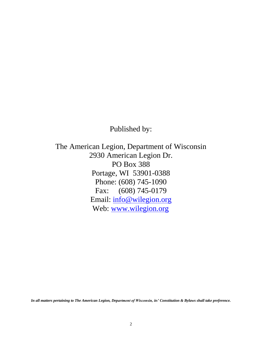Published by:

The American Legion, Department of Wisconsin 2930 American Legion Dr. PO Box 388 Portage, WI 53901-0388 Phone: (608) 745-1090 Fax: (608) 745-0179 Email: [info@wilegion.org](mailto:info@wilegion.org) Web: [www.wilegion.org](http://www.wilegion.org/) 

*In all matters pertaining to The American Legion, Department of Wisconsin, its' Constitution & Bylaws shall take preference.*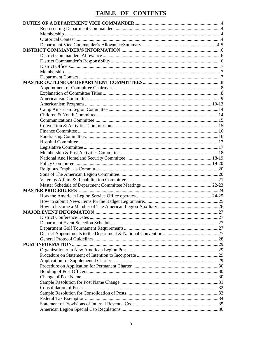# TABLE OF CONTENTS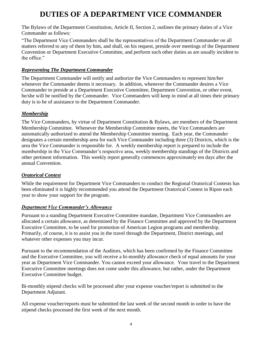# **DUTIES OF A DEPARTMENT VICE COMMANDER**

The Bylaws of the Department Constitution, Article II, Section 2, outlines the primary duties of a Vice Commander as follows:

"The Department Vice Commanders shall be the representatives of the Department Commander on all matters referred to any of them by him, and shall, on his request, preside over meetings of the Department Convention or Department Executive Committee, and perform such other duties as are usually incident to the office."

# *Representing The Department Commander*

The Department Commander will notify and authorize the Vice Commanders to represent him/her whenever the Commander deems it necessary. In addition, whenever the Commander desires a Vice Commander to preside at a Department Executive Committee, Department Convention, or other event, he/she will be notified by the Commander. Vice Commanders will keep in mind at all times their primary duty is to be of assistance to the Department Commander.

# *Membership*

The Vice Commanders, by virtue of Department Constitution & Bylaws, are members of the Department Membership Committee. Whenever the Membership Committee meets, the Vice Commanders are automatically authorized to attend the Membership Committee meeting. Each year, the Commander designates a certain membership area for each Vice Commander including three (3) Districts, which is the area the Vice Commander is responsible for. A weekly membership report is prepared to include the membership in the Vice Commander's respective area, weekly membership standings of the Districts and other pertinent information. This weekly report generally commences approximately ten days after the annual Convention.

# *Oratorical Contest*

While the requirement for Department Vice Commanders to conduct the Regional Oratorical Contests has been eliminated it is highly recommended you attend the Department Oratorical Contest in Ripon each year to show your support for the program.

# *Department Vice Commander's Allowance*

Pursuant to a standing Department Executive Committee mandate, Department Vice Commanders are allocated a certain allowance, as determined by the Finance Committee and approved by the Department Executive Committee, to be used for promotion of American Legion programs and membership. Primarily, of course, it is to assist you in the travel through the Department, District meetings, and whatever other expenses you may incur.

Pursuant to the recommendation of the Auditors, which has been confirmed by the Finance Committee and the Executive Committee, you will receive a bi-monthly allowance check of equal amounts for your year as Department Vice Commander. You cannot exceed your allowance. Your travel to the Department Executive Committee meetings does not come under this allowance, but rather, under the Department Executive Committee budget.

Bi-monthly stipend checks will be processed after your expense voucher/report is submitted to the Department Adjutant.

All expense voucher/reports must be submitted the last week of the second month in order to have the stipend checks processed the first week of the next month.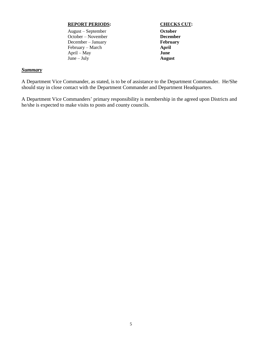### **REPORT PERIODS: CHECKS CUT:**

August – September **October** October – November **December** December – January **February** February – March **April** April – May **June** June – July **August**

### *Summary*

A Department Vice Commander, as stated, is to be of assistance to the Department Commander. He/She should stay in close contact with the Department Commander and Department Headquarters.

A Department Vice Commanders' primary responsibility is membership in the agreed upon Districts and he/she is expected to make visits to posts and county councils.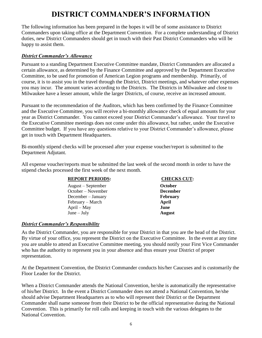# **DISTRICT COMMANDER'S INFORMATION**

The following information has been prepared in the hopes it will be of some assistance to District Commanders upon taking office at the Department Convention. For a complete understanding of District duties, new District Commanders should get in touch with their Past District Commanders who will be happy to assist them.

## *District Commander's Allowance*

Pursuant to a standing Department Executive Committee mandate, District Commanders are allocated a certain allowance, as determined by the Finance Committee and approved by the Department Executive Committee, to be used for promotion of American Legion programs and membership. Primarily, of course, it is to assist you in the travel through the District, District meetings, and whatever other expenses you may incur. The amount varies according to the Districts. The Districts in Milwaukee and close to Milwaukee have a lesser amount, while the larger Districts, of course, receive an increased amount.

Pursuant to the recommendation of the Auditors, which has been confirmed by the Finance Committee and the Executive Committee, you will receive a bi-monthly allowance check of equal amounts for your year as District Commander. You cannot exceed your District Commander's allowance. Your travel to the Executive Committee meetings does not come under this allowance, but rather, under the Executive Committee budget. If you have any questions relative to your District Commander's allowance, please get in touch with Department Headquarters.

Bi-monthly stipend checks will be processed after your expense voucher/report is submitted to the Department Adjutant.

All expense voucher/reports must be submitted the last week of the second month in order to have the stipend checks processed the first week of the next month.

### **REPORT PERIODS: CHECKS CUT:**

August – September **October** October – November **December** December – January **February** February – March **April** April – May **June** June – July **August**

# *District Commander's Responsibility*

As the District Commander, you are responsible for your District in that you are the head of the District. By virtue of your office, you represent the District on the Executive Committee. In the event at any time you are unable to attend an Executive Committee meeting, you should notify your First Vice Commander who has the authority to represent you in your absence and thus ensure your District of proper representation.

At the Department Convention, the District Commander conducts his/her Caucuses and is customarily the Floor Leader for the District.

When a District Commander attends the National Convention, he/she is automatically the representative of his/her District. In the event a District Commander does not attend a National Convention, he/she should advise Department Headquarters as to who will represent their District or the Department Commander shall name someone from their District to be the official representative during the National Convention. This is primarily for roll calls and keeping in touch with the various delegates to the National Convention.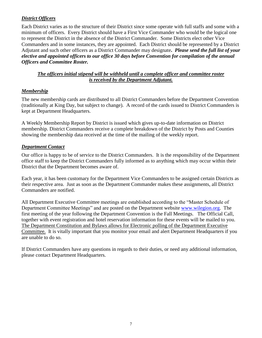# *District Officers*

Each District varies as to the structure of their District since some operate with full staffs and some with a minimum of officers. Every District should have a First Vice Commander who would be the logical one to represent the District in the absence of the District Commander. Some Districts elect other Vice Commanders and in some instances, they are appointed. Each District should be represented by a District Adjutant and such other officers as a District Commander may designate**.** *Please send the full list of your elective and appointed officers to our office 30 days before Convention for compilation of the annual Officers and Committee Roster.*

# *The officers initial stipend will be withheld until a complete officer and committee roster is received by the Department Adjutant.*

# *Membership*

The new membership cards are distributed to all District Commanders before the Department Convention (traditionally at King Day, but subject to change). A record of the cards issued to District Commanders is kept at Department Headquarters.

A Weekly Membership Report by District is issued which gives up-to-date information on District membership. District Commanders receive a complete breakdown of the District by Posts and Counties showing the membership data received at the time of the mailing of the weekly report.

# *Department Contact*

Our office is happy to be of service to the District Commanders. It is the responsibility of the Department office staff to keep the District Commanders fully informed as to anything which may occur within their District that the Department becomes aware of.

Each year, it has been customary for the Department Vice Commanders to be assigned certain Districts as their respective area. Just as soon as the Department Commander makes these assignments, all District Commanders are notified.

All Department Executive Committee meetings are established according to the "Master Schedule of Department Committee Meetings" and are posted on the Department website [www.wilegion.org.](http://www.wilegion.org/) The first meeting of the year following the Department Convention is the Fall Meetings. The Official Call, together with event registration and hotel reservation information for these events will be mailed to you. The Department Constitution and Bylaws allows for Electronic polling of the Department Executive Committee. It is vitally important that you monitor your email and alert Department Headquarters if you are unable to do so.

If District Commanders have any questions in regards to their duties, or need any additional information, please contact Department Headquarters.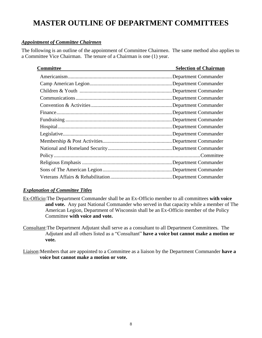# **MASTER OUTLINE OF DEPARTMENT COMMITTEES**

# *Appointment of Committee Chairmen*

The following is an outline of the appointment of Committee Chairmen. The same method also applies to a Committee Vice Chairman. The tenure of a Chairman is one (1) year.

| Committee | <b>Selection of Chairman</b> |
|-----------|------------------------------|
|           | Department Commander         |
|           | Department Commander         |
|           | Department Commander         |
|           | Department Commander         |
|           | Department Commander         |
|           | Department Commander         |
|           | <b>Department Commander</b>  |
|           | Department Commander         |
|           | Department Commander         |
|           |                              |
|           |                              |
|           |                              |
|           |                              |
|           |                              |
|           |                              |

# *Explanation of Committee Titles*

Ex-Officio:The Department Commander shall be an Ex-Officio member to all committees **with voice and vote.** Any past National Commander who served in that capacity while a member of The American Legion, Department of Wisconsin shall be an Ex-Officio member of the Policy Committee **with voice and vote.**

Consultant:The Department Adjutant shall serve as a consultant to all Department Committees. The Adjutant and all others listed as a "Consultant" **have a voice but cannot make a motion or vote.**

Liaison:Members that are appointed to a Committee as a liaison by the Department Commander **have a voice but cannot make a motion or vote.**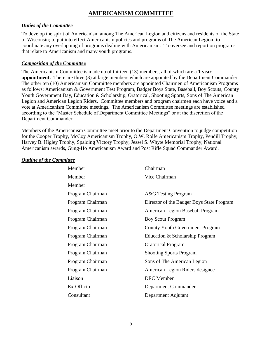# **AMERICANISM COMMITTEE**

# *Duties of the Committee*

To develop the spirit of Americanism among The American Legion and citizens and residents of the State of Wisconsin; to put into effect Americanism policies and programs of The American Legion; to coordinate any overlapping of programs dealing with Americanism. To oversee and report on programs that relate to Americanism and many youth programs.

# *Composition of the Committee*

The Americanism Committee is made up of thirteen (13) members, all of which are a **1 year appointment.** There are three (3) at large members which are appointed by the Department Commander. The other ten (10) Americanism Committee members are appointed Chairmen of Americanism Programs as follows; Americanism & Government Test Program, Badger Boys State, Baseball, Boy Scouts, County Youth Government Day, Education & Scholarship, Oratorical, Shooting Sports, Sons of The American Legion and American Legion Riders. Committee members and program chairmen each have voice and a vote at Americanism Committee meetings. The Americanism Committee meetings are established according to the "Master Schedule of Department Committee Meetings" or at the discretion of the Department Commander.

Members of the Americanism Committee meet prior to the Department Convention to judge competition for the Cooper Trophy, McCoy Americanism Trophy, O.W. Rolfe Americanism Trophy, Pendill Trophy, Harvey B. Higley Trophy, Spalding Victory Trophy, Jessel S. Whyte Memorial Trophy, National Americanism awards, Gung-Ho Americanism Award and Post Rifle Squad Commander Award.

| Member           | Chairman                                  |
|------------------|-------------------------------------------|
| Member           | Vice Chairman                             |
| Member           |                                           |
| Program Chairman | <b>A&amp;G</b> Testing Program            |
| Program Chairman | Director of the Badger Boys State Program |
| Program Chairman | American Legion Baseball Program          |
| Program Chairman | <b>Boy Scout Program</b>                  |
| Program Chairman | <b>County Youth Government Program</b>    |
| Program Chairman | Education & Scholarship Program           |
| Program Chairman | <b>Oratorical Program</b>                 |
| Program Chairman | <b>Shooting Sports Program</b>            |
| Program Chairman | Sons of The American Legion               |
| Program Chairman | American Legion Riders designee           |
| Liaison          | <b>DEC</b> Member                         |
| Ex-Officio       | Department Commander                      |
| Consultant       | Department Adjutant                       |
|                  |                                           |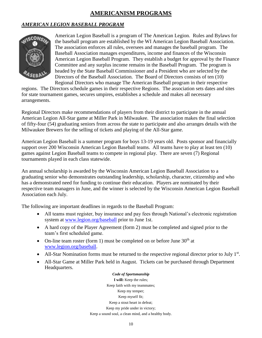# **AMERICANISM PROGRAMS**

# *AMERICAN LEGION BASEBALL PROGRAM*



American Legion Baseball is a program of The American Legion. Rules and Bylaws for the baseball program are established by the WI American Legion Baseball Association. The association enforces all rules, oversees and manages the baseball program. The Baseball Association manages expenditures, income and finances of the Wisconsin American Legion Baseball Program. They establish a budget for approval by the Finance Committee and any surplus income remains in the Baseball Program. The program is headed by the State Baseball Commissioner and a President who are selected by the Directors of the Baseball Association. The Board of Directors consists of ten (10) Regional Directors who manage The American Baseball program in their respective

regions. The Directors schedule games in their respective Regions. The association sets dates and sites for state tournament games, secures umpires, establishes a schedule and makes all necessary arrangements.

Regional Directors make recommendations of players from their district to participate in the annual American Legion All-Star game at Miller Park in Milwaukee. The association makes the final selection of fifty-four (54) graduating seniors from across the state to participate and also arranges details with the Milwaukee Brewers for the selling of tickets and playing of the All-Star game.

American Legion Baseball is a summer program for boys 13-19 years old. Posts sponsor and financially support over 200 Wisconsin American Legion Baseball teams. All teams have to play at least ten (10) games against Legion Baseball teams to compete in regional play. There are seven (7) Regional tournaments played in each class statewide.

An annual scholarship is awarded by the Wisconsin American Legion Baseball Association to a graduating senior who demonstrates outstanding leadership, scholarship, character, citizenship and who has a demonstrated need for funding to continue their education. Players are nominated by their respective team managers in June, and the winner is selected by the Wisconsin American Legion Baseball Association each July.

The following are important deadlines in regards to the Baseball Program:

- All teams must register, buy insurance and pay fees through National's electronic registration system at [www.legion.org/baseball](http://www.legion.org/baseball) prior to June 1st.
- A hard copy of the Player Agreement (form 2) must be completed and signed prior to the team's first scheduled game.
- On-line team roster (form 1) must be completed on or before June  $30<sup>th</sup>$  at [www.legion.org/baseball.](http://www.legion.org/baseball)
- All-Star Nomination forms must be returned to the respective regional director prior to July  $1<sup>st</sup>$ .
- All-Star Game at Miller Park held in August. Tickets can be purchased through Department Headquarters.

*Code of Sportsmanship* **I will:** Keep the rules; Keep faith with my teammates; Keep my temper; Keep myself fit; Keep a stout heart in defeat; Keep my pride under in victory; Keep a sound soul, a clean mind, and a healthy body.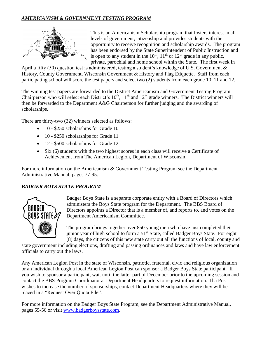# *AMERICANISM & GOVERNMENT TESTING PROGRAM*



This is an Americanism Scholarship program that fosters interest in all levels of government, citizenship and provides students with the opportunity to receive recognition and scholarship awards. The program has been endorsed by the State Superintendent of Public Instruction and is open to any student in the  $10^{th}$ ,  $11^{th}$  or  $12^{th}$  grade in any public, private, parochial and home school within the State. The first week in

April a fifty (50) question test is administered, testing a student's knowledge of U.S. Government & History, County Government, Wisconsin Government & History and Flag Etiquette. Staff from each participating school will score the test papers and select two (2) students from each grade 10, 11 and 12.

The winning test papers are forwarded to the District Americanism and Government Testing Program Chairperson who will select each District's 10<sup>th</sup>, 11<sup>th</sup> and 12<sup>th</sup> grade winners. The District winners will then be forwarded to the Department A&G Chairperson for further judging and the awarding of scholarships.

There are thirty-two (32) winners selected as follows:

- 10 \$250 scholarships for Grade 10
- 10 \$250 scholarships for Grade 11
- 12 \$500 scholarships for Grade 12
- Six (6) students with the two highest scores in each class will receive a Certificate of Achievement from The American Legion, Department of Wisconsin.

For more information on the Americanism & Government Testing Program see the Department Administrative Manual, pages 77-95.

# *BADGER BOYS STATE PROGRAM*



Badger Boys State is a separate corporate entity with a Board of Directors which administers the Boys State program for the Department. The BBS Board of Directors appoints a Director that is a member of, and reports to, and votes on the Department Americanism Committee.

The program brings together over 850 young men who have just completed their junior year of high school to form a 51<sup>st</sup> State, called Badger Boys State. For eight (8) days, the citizens of this new state carry out all the functions of local, county and

state government including elections, drafting and passing ordinances and laws and have law enforcement officials to carry out the laws.

Any American Legion Post in the state of Wisconsin, patriotic, fraternal, civic and religious organization or an individual through a local American Legion Post can sponsor a Badger Boys State participant. If you wish to sponsor a participant, wait until the latter part of December prior to the upcoming session and contact the BBS Program Coordinator at Department Headquarters to request information. If a Post wishes to increase the number of sponsorships, contact Department Headquarters where they will be placed in a "Request Over Quota File".

For more information on the Badger Boys State Program, see the Department Administrative Manual, pages 55-56 or visit [www.badgerboysstate.com.](http://www.badgerboysstate.com/)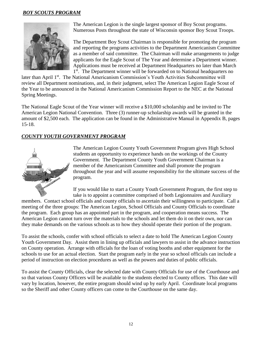# *BOY SCOUTS PROGRAM*



The American Legion is the single largest sponsor of Boy Scout programs. Numerous Posts throughout the state of Wisconsin sponsor Boy Scout Troops.

The Department Boy Scout Chairman is responsible for promoting the program and reporting the programs activities to the Department Americanism Committee as a member of said committee. The Chairman will make arrangements to judge applicants for the Eagle Scout of The Year and determine a Department winner. Applications must be received at Department Headquarters no later than March 1<sup>st</sup>. The Department winner will be forwarded on to National headquarters no

later than April 1<sup>st</sup>. The National Americanism Commission's Youth Activities Subcommittee will review all Department nominations, and, in their judgment, select The American Legion Eagle Scout of the Year to be announced in the National Americanism Commission Report to the NEC at the National Spring Meetings.

The National Eagle Scout of the Year winner will receive a \$10,000 scholarship and be invited to The American Legion National Convention. Three (3) runner-up scholarship awards will be granted in the amount of \$2,500 each. The application can be found in the Administrative Manual in Appendix B, pages 15-18.

# *COUNTY YOUTH GOVERNMENT PROGRAM*



The American Legion County Youth Government Program gives High School students an opportunity to experience hands on the workings of the County Government. The Department County Youth Government Chairman is a member of the Americanism Committee and shall promote the program throughout the year and will assume responsibility for the ultimate success of the program.

If you would like to start a County Youth Government Program, the first step to take is to appoint a committee comprised of both Legionnaires and Auxiliary

members. Contact school officials and county officials to ascertain their willingness to participate. Call a meeting of the three groups: The American Legion, School Officials and County Officials to coordinate the program. Each group has an appointed part in the program, and cooperation means success. The American Legion cannot turn over the materials to the schools and let them do it on their own, nor can they make demands on the various schools as to how they should operate their portion of the program.

To assist the schools, confer with school officials to select a date to hold The American Legion County Youth Government Day. Assist them in lining up officials and lawyers to assist in the advance instruction on County operation. Arrange with officials for the loan of voting booths and other equipment for the schools to use for an actual election. Start the program early in the year so school officials can include a period of instruction on election procedures as well as the powers and duties of public officials.

To assist the County Officials, clear the selected date with County Officials for use of the Courthouse and so that various County Officers will be available to the students elected to County offices. This date will vary by location, however, the entire program should wind up by early April. Coordinate local programs so the Sheriff and other County officers can come to the Courthouse on the same day.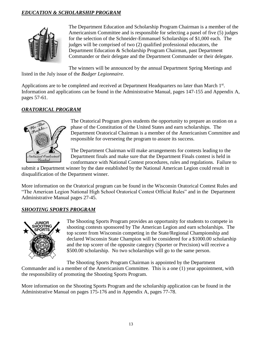# *EDUCATION & SCHOLARSHIP PROGRAM*



The Department Education and Scholarship Program Chairman is a member of the Americanism Committee and is responsible for selecting a panel of five (5) judges for the selection of the Schneider-Emmanuel Scholarships of \$1,000 each. The judges will be comprised of two (2) qualified professional educators, the Department Education & Scholarship Program Chairman, past Department Commander or their delegate and the Department Commander or their delegate.

The winners will be announced by the annual Department Spring Meetings and listed in the July issue of the *Badger Legionnaire.*

Applications are to be completed and received at Department Headquarters no later than March 1<sup>st</sup>. Information and applications can be found in the Administrative Manual, pages 147-155 and Appendix A, pages 57-61.

# *ORATORICAL PROGRAM*



The Oratorical Program gives students the opportunity to prepare an oration on a phase of the Constitution of the United States and earn scholarships. The Department Oratorical Chairman is a member of the Americanism Committee and responsible for overseeing the program to assure its success.

The Department Chairman will make arrangements for contests leading to the Department finals and make sure that the Department Finals contest is held in conformance with National Contest procedures, rules and regulations. Failure to

submit a Department winner by the date established by the National American Legion could result in disqualification of the Department winner.

More information on the Oratorical program can be found in the Wisconsin Oratorical Contest Rules and "The American Legion National High School Oratorical Contest Official Rules" and in the Department Administrative Manual pages 27-45.

# *SHOOTING SPORTS PROGRAM*



The Shooting Sports Program provides an opportunity for students to compete in shooting contests sponsored by The American Legion and earn scholarships. The top scorer from Wisconsin competing in the State/Regional Championship and declared Wisconsin State Champion will be considered for a \$1000.00 scholarship and the top scorer of the opposite category (Sporter or Precision) will receive a \$500.00 scholarship. No two scholarships will go to the same person.

The Shooting Sports Program Chairman is appointed by the Department

Commander and is a member of the Americanism Committee. This is a one (1) year appointment, with the responsibility of promoting the Shooting Sports Program.

More information on the Shooting Sports Program and the scholarship application can be found in the Administrative Manual on pages 175-176 and in Appendix A, pages 77-78.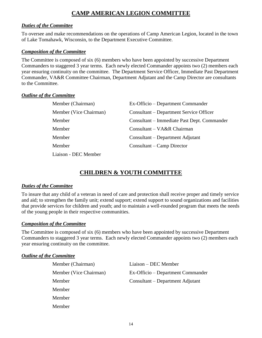# **CAMP AMERICAN LEGION COMMITTEE**

# *Duties of the Committee*

To oversee and make recommendations on the operations of Camp American Legion, located in the town of Lake Tomahawk, Wisconsin, to the Department Executive Committee.

### *Composition of the Committee*

The Committee is composed of six (6) members who have been appointed by successive Department Commanders to staggered 3 year terms. Each newly elected Commander appoints two (2) members each year ensuring continuity on the committee. The Department Service Officer, Immediate Past Department Commander, VA&R Committee Chairman, Department Adjutant and the Camp Director are consultants to the Committee.

## *Outline of the Committee*

| Member (Chairman)      | Ex-Officio – Department Commander           |
|------------------------|---------------------------------------------|
| Member (Vice Chairman) | Consultant – Department Service Officer     |
| Member                 | Consultant – Immediate Past Dept. Commander |
| Member                 | Consultant – VA&R Chairman                  |
| Member                 | Consultant – Department Adjutant            |
| Member                 | Consultant – Camp Director                  |
| Liaison - DEC Member   |                                             |

# **CHILDREN & YOUTH COMMITTEE**

# *Duties of the Committee*

To insure that any child of a veteran in need of care and protection shall receive proper and timely service and aid; to strengthen the family unit; extend support; extend support to sound organizations and facilities that provide services for children and youth; and to maintain a well-rounded program that meets the needs of the young people in their respective communities.

# *Composition of the Committee*

The Committee is composed of six (6) members who have been appointed by successive Department Commanders to staggered 3 year terms. Each newly elected Commander appoints two (2) members each year ensuring continuity on the committee.

| Member (Chairman)      | Liaison – DEC Member              |
|------------------------|-----------------------------------|
| Member (Vice Chairman) | Ex-Officio – Department Commander |
| Member                 | Consultant – Department Adjutant  |
| Member                 |                                   |
| Member                 |                                   |
| Member                 |                                   |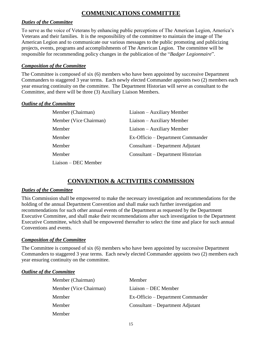# **COMMUNICATIONS COMMITTEE**

# *Duties of the Committee*

To serve as the voice of Veterans by enhancing public perceptions of The American Legion, America's Veterans and their families. It is the responsibility of the committee to maintain the image of The American Legion and to communicate our various messages to the public promoting and publicizing projects, events, programs and accomplishments of The American Legion. The committee will be responsible for recommending policy changes in the publication of the "*Badger Legionnaire*".

# *Composition of the Committee*

The Committee is composed of six (6) members who have been appointed by successive Department Commanders to staggered 3 year terms. Each newly elected Commander appoints two (2) members each year ensuring continuity on the committee. The Department Historian will serve as consultant to the Committee, and there will be three (3) Auxiliary Liaison Members.

# *Outline of the Committee*

| Member (Chairman)      | Liaison – Auxiliary Member        |
|------------------------|-----------------------------------|
| Member (Vice Chairman) | Liaison – Auxiliary Member        |
| Member                 | Liaison – Auxiliary Member        |
| Member                 | Ex-Officio – Department Commander |
| Member                 | Consultant – Department Adjutant  |
| Member                 | Consultant – Department Historian |
| Liaison – DEC Member   |                                   |

# **CONVENTION & ACTIVITIES COMMISSION**

# *Duties of the Committee*

This Commission shall be empowered to make the necessary investigation and recommendations for the holding of the annual Department Convention and shall make such further investigation and recommendations for such other annual events of the Department as requested by the Department Executive Committee, and shall make their recommendations after such investigation to the Department Executive Committee, which shall be empowered thereafter to select the time and place for such annual Conventions and events.

# *Composition of the Committee*

The Committee is composed of six (6) members who have been appointed by successive Department Commanders to staggered 3 year terms. Each newly elected Commander appoints two (2) members each year ensuring continuity on the committee.

| Member (Chairman)      | Member                            |
|------------------------|-----------------------------------|
| Member (Vice Chairman) | Liaison – DEC Member              |
| Member                 | Ex-Officio – Department Commander |
| Member                 | Consultant – Department Adjutant  |
| Member                 |                                   |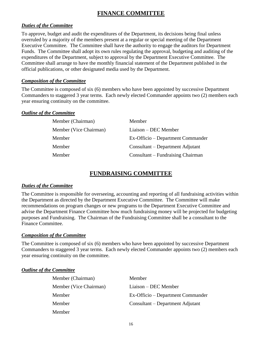# **FINANCE COMMITTEE**

# *Duties of the Committee*

To approve, budget and audit the expenditures of the Department, its decisions being final unless overruled by a majority of the members present at a regular or special meeting of the Department Executive Committee. The Committee shall have the authority to engage the auditors for Department Funds. The Committee shall adopt its own rules regulating the approval, budgeting and auditing of the expenditures of the Department, subject to approval by the Department Executive Committee. The Committee shall arrange to have the monthly financial statement of the Department published in the official publications, or other designated media used by the Department.

# *Composition of the Committee*

The Committee is composed of six (6) members who have been appointed by successive Department Commanders to staggered 3 year terms. Each newly elected Commander appoints two (2) members each year ensuring continuity on the committee.

# *Outline of the Committee*

| Member (Chairman)      | Member                            |
|------------------------|-----------------------------------|
| Member (Vice Chairman) | Liaison – DEC Member              |
| Member                 | Ex-Officio – Department Commander |
| Member                 | Consultant – Department Adjutant  |
| Member                 | Consultant – Fundraising Chairman |

# **FUNDRAISING COMMITTEE**

# *Duties of the Committee*

The Committee is responsible for overseeing, accounting and reporting of all fundraising activities within the Department as directed by the Department Executive Committee. The Committee will make recommendations on program changes or new programs to the Department Executive Committee and advise the Department Finance Committee how much fundraising money will be projected for budgeting purposes and Fundraising. The Chairman of the Fundraising Committee shall be a consultant to the Finance Committee.

# *Composition of the Committee*

The Committee is composed of six (6) members who have been appointed by successive Department Commanders to staggered 3 year terms. Each newly elected Commander appoints two (2) members each year ensuring continuity on the committee.

| Member (Chairman)      | Member                            |
|------------------------|-----------------------------------|
| Member (Vice Chairman) | Liaison – DEC Member              |
| Member                 | Ex-Officio – Department Commander |
| Member                 | Consultant – Department Adjutant  |
| Member                 |                                   |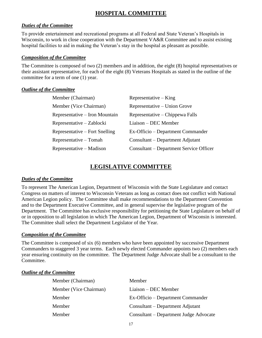# **HOSPITAL COMMITTEE**

# *Duties of the Committee*

To provide entertainment and recreational programs at all Federal and State Veteran's Hospitals in Wisconsin, to work in close cooperation with the Department VA&R Committee and to assist existing hospital facilities to aid in making the Veteran's stay in the hospital as pleasant as possible.

# *Composition of the Committee*

The Committee is composed of two (2) members and in addition, the eight (8) hospital representatives or their assistant representative, for each of the eight (8) Veterans Hospitals as stated in the outline of the committee for a term of one (1) year.

## *Outline of the Committee*

| Member (Chairman)              | $Representative - King$                 |
|--------------------------------|-----------------------------------------|
| Member (Vice Chairman)         | Representative – Union Grove            |
| Representative – Iron Mountain | Representative – Chippewa Falls         |
| Representative – Zablocki      | Liaison – DEC Member                    |
| Representative – Fort Snelling | Ex-Officio – Department Commander       |
| Representative – Tomah         | Consultant – Department Adjutant        |
| Representative – Madison       | Consultant – Department Service Officer |

# **LEGISLATIVE COMMITTEE**

# *Duties of the Committee*

To represent The American Legion, Department of Wisconsin with the State Legislature and contact Congress on matters of interest to Wisconsin Veterans as long as contact does not conflict with National American Legion policy. The Committee shall make recommendations to the Department Convention and to the Department Executive Committee, and in general supervise the legislative program of the Department. The Committee has exclusive responsibility for petitioning the State Legislature on behalf of or in opposition to all legislation in which The American Legion, Department of Wisconsin is interested. The Committee shall select the Department Legislator of the Year.

# *Composition of the Committee*

The Committee is composed of six (6) members who have been appointed by successive Department Commanders to staggered 3 year terms. Each newly elected Commander appoints two (2) members each year ensuring continuity on the committee. The Department Judge Advocate shall be a consultant to the Committee.

| Member (Chairman)      | Member                                 |
|------------------------|----------------------------------------|
| Member (Vice Chairman) | Liaison – DEC Member                   |
| Member                 | Ex-Officio – Department Commander      |
| Member                 | Consultant – Department Adjutant       |
| Member                 | Consultant – Department Judge Advocate |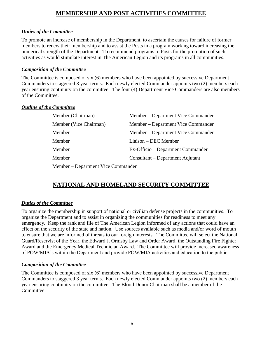# **MEMBERSHIP AND POST ACTIVITIES COMMITTEE**

# *Duties of the Committee*

To promote an increase of membership in the Department, to ascertain the causes for failure of former members to renew their membership and to assist the Posts in a program working toward increasing the numerical strength of the Department. To recommend programs to Posts for the promotion of such activities as would stimulate interest in The American Legion and its programs in all communities.

# *Composition of the Committee*

The Committee is composed of six (6) members who have been appointed by successive Department Commanders to staggered 3 year terms. Each newly elected Commander appoints two (2) members each year ensuring continuity on the committee. The four (4) Department Vice Commanders are also members of the Committee.

# *Outline of the Committee*

| Member (Chairman)                  | Member – Department Vice Commander |
|------------------------------------|------------------------------------|
| Member (Vice Chairman)             | Member – Department Vice Commander |
| Member                             | Member – Department Vice Commander |
| Member                             | Liaison – DEC Member               |
| Member                             | Ex-Officio – Department Commander  |
| Member                             | Consultant – Department Adjutant   |
| Member – Department Vice Commander |                                    |

# **NATIONAL AND HOMELAND SECURITY COMMITTEE**

# *Duties of the Committee*

To organize the membership in support of national or civilian defense projects in the communities. To organize the Department and to assist in organizing the communities for readiness to meet any emergency. Keep the rank and file of The American Legion informed of any actions that could have an effect on the security of the state and nation. Use sources available such as media and/or word of mouth to ensure that we are informed of threats to our foreign interests. The Committee will select the National Guard/Reservist of the Year, the Edward J. Ormsby Law and Order Award, the Outstanding Fire Fighter Award and the Emergency Medical Technician Award. The Committee will provide increased awareness of POW/MIA's within the Department and provide POW/MIA activities and education to the public.

# *Composition of the Committee*

The Committee is composed of six (6) members who have been appointed by successive Department Commanders to staggered 3 year terms. Each newly elected Commander appoints two (2) members each year ensuring continuity on the committee. The Blood Donor Chairman shall be a member of the Committee.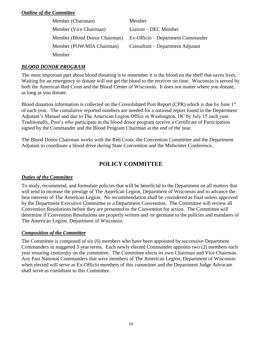# *Outline of the Committee*

| Member (Chairman)             | Member                            |
|-------------------------------|-----------------------------------|
| Member (Vice Chairman)        | Liaison – DEC Member              |
| Member (Blood Donor Chairman) | Ex-Officio – Department Commander |
| Member (POW/MIA Chairman)     | Consultant – Department Adjutant  |
| <b>Member</b>                 |                                   |

# *BLOOD DONOR PROGRAM*

The most important part about blood donating is to remember it is the blood on the shelf that saves lives. Waiting for an emergency to donate will not get the blood to the receiver on time. Wisconsin is served by both the American Red Cross and the Blood Center of Wisconsin. It does not matter where you donate, as long as you donate.

Blood donation information is collected on the Consolidated Post Report (CPR) which is due by June 1st of each year. The cumulative reported numbers are needed for a national report found in the Department Adjutant's Manual and due to The American Legion Office in Washington, DC by July 15 each year. Traditionally, Post's who participate in the blood donor program receive a Certificate of Participation signed by the Commander and the Blood Program Chairman at the end of the year.

The Blood Donor Chairman works with the Red Cross, the Convention Committee and the Department Adjutant to coordinate a blood drive during State Convention and the Midwinter Conference.

# **POLICY COMMITTEE**

# *Duties of the Committee*

To study, recommend, and formulate policies that will be beneficial to the Department on all matters that will tend to increase the prestige of The American Legion, Department of Wisconsin and to advance the best interests of The American Legion. No recommendation shall be considered as final unless approved by the Department Executive Committee or a Department Convention. The Committee will review all Convention Resolutions before they are presented to the Convention for action. The Committee will determine if Convention Resolutions are properly written and /or germane to the policies and mandates of The American Legion, Department of Wisconsin.

# *Composition of the Committee*

The Committee is composed of six (6) members who have been appointed by successive Department Commanders to staggered 3 year terms. Each newly elected Commander appoints two (2) members each year ensuring continuity on the committee. The Committee elects its own Chairman and Vice Chairman. Any Past National Commanders that were members of The American Legion, Department of Wisconsin when elected will serve as Ex-Officio members of this committee and the Department Judge Advocate shall serve as consultant to this Committee.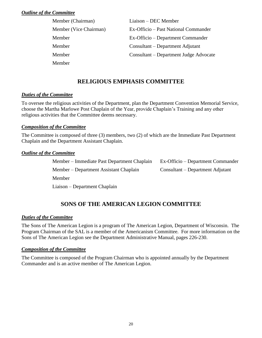# *Outline of the Committee*

| Member (Chairman)      | Liaison – DEC Member                   |
|------------------------|----------------------------------------|
| Member (Vice Chairman) | Ex-Officio – Past National Commander   |
| Member                 | Ex-Officio – Department Commander      |
| Member                 | Consultant – Department Adjutant       |
| Member                 | Consultant – Department Judge Advocate |
| Member                 |                                        |

# **RELIGIOUS EMPHASIS COMMITTEE**

# *Duties of the Committee*

To oversee the religious activities of the Department, plan the Department Convention Memorial Service, choose the Martha Marlowe Post Chaplain of the Year, provide Chaplain's Training and any other religious activities that the Committee deems necessary.

# *Composition of the Committee*

The Committee is composed of three (3) members, two (2) of which are the Immediate Past Department Chaplain and the Department Assistant Chaplain.

# *Outline of the Committee*

| Member – Immediate Past Department Chaplain | Ex-Officio – Department Commander |
|---------------------------------------------|-----------------------------------|
| Member – Department Assistant Chaplain      | Consultant – Department Adjutant  |
| Member                                      |                                   |
| Liaison – Department Chaplain               |                                   |

# **SONS OF THE AMERICAN LEGION COMMITTEE**

# *Duties of the Committee*

The Sons of The American Legion is a program of The American Legion, Department of Wisconsin. The Program Chairman of the SAL is a member of the Americanism Committee. For more information on the Sons of The American Legion see the Department Administrative Manual, pages 226-230.

# *Composition of the Committee*

The Committee is composed of the Program Chairman who is appointed annually by the Department Commander and is an active member of The American Legion.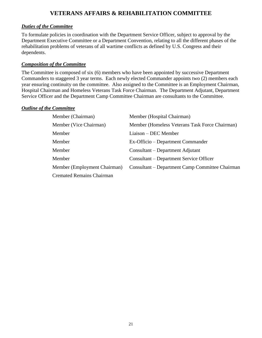# **VETERANS AFFAIRS & REHABILITATION COMMITTEE**

# *Duties of the Committee*

To formulate policies in coordination with the Department Service Officer, subject to approval by the Department Executive Committee or a Department Convention, relating to all the different phases of the rehabilitation problems of veterans of all wartime conflicts as defined by U.S. Congress and their dependents.

# *Composition of the Committee*

The Committee is composed of six (6) members who have been appointed by successive Department Commanders to staggered 3 year terms. Each newly elected Commander appoints two (2) members each year ensuring continuity on the committee. Also assigned to the Committee is an Employment Chairman, Hospital Chairman and Homeless Veterans Task Force Chairman. The Department Adjutant, Department Service Officer and the Department Camp Committee Chairman are consultants to the Committee.

| Member (Chairman)                | Member (Hospital Chairman)                      |
|----------------------------------|-------------------------------------------------|
| Member (Vice Chairman)           | Member (Homeless Veterans Task Force Chairman)  |
| Member                           | Liaison – DEC Member                            |
| Member                           | Ex-Officio – Department Commander               |
| Member                           | Consultant – Department Adjutant                |
| Member                           | Consultant – Department Service Officer         |
| Member (Employment Chairman)     | Consultant – Department Camp Committee Chairman |
| <b>Cremated Remains Chairman</b> |                                                 |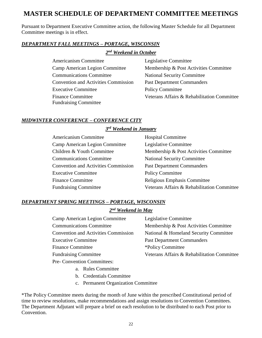# **MASTER SCHEDULE OF DEPARTMENT COMMITTEE MEETINGS**

Pursuant to Department Executive Committee action, the following Master Schedule for all Department Committee meetings is in effect.

# *DEPARTMENT FALL MEETINGS – PORTAGE, WISCONSIN*

*2 nd Weekend in October*

Americanism Committee Legislative Committee Communications Committee National Security Committee Convention and Activities Commission Past Department Commanders Executive Committee Policy Committee Fundraising Committee

Camp American Legion Committee Membership & Post Activities Committee Finance Committee Veterans Affairs & Rehabilitation Committee

# *MIDWINTER CONFERENCE – CONFERENCE CITY*

# *3 rd Weekend in January*

| <b>Americanism Committee</b>                | <b>Hospital Committee</b>                   |
|---------------------------------------------|---------------------------------------------|
| Camp American Legion Committee              | Legislative Committee                       |
| Children & Youth Committee                  | Membership & Post Activities Committee      |
| <b>Communications Committee</b>             | <b>National Security Committee</b>          |
| <b>Convention and Activities Commission</b> | <b>Past Department Commanders</b>           |
| <b>Executive Committee</b>                  | <b>Policy Committee</b>                     |
| <b>Finance Committee</b>                    | Religious Emphasis Committee                |
| <b>Fundraising Committee</b>                | Veterans Affairs & Rehabilitation Committee |

# *DEPARTMENT SPRING MEETINGS – PORTAGE, WISCONSIN*

# *2 nd Weekend in May*

| Camp American Legion Committee              | Legislative Committee                       |
|---------------------------------------------|---------------------------------------------|
| <b>Communications Committee</b>             | Membership & Post Activities Committee      |
| <b>Convention and Activities Commission</b> | National & Homeland Security Committee      |
| <b>Executive Committee</b>                  | <b>Past Department Commanders</b>           |
| <b>Finance Committee</b>                    | *Policy Committee                           |
| <b>Fundraising Committee</b>                | Veterans Affairs & Rehabilitation Committee |
| <b>Pre- Convention Committees:</b>          |                                             |

- a. Rules Committee
- b. Credentials Committee
- c. Permanent Organization Committee

\*The Policy Committee meets during the month of June within the prescribed Constitutional period of time to review resolutions, make recommendations and assign resolutions to Convention Committees. The Department Adjutant will prepare a brief on each resolution to be distributed to each Post prior to Convention.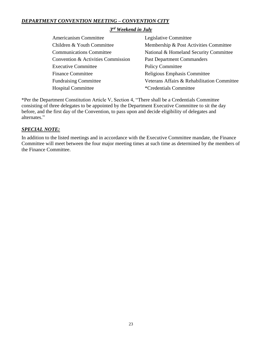# *DEPARTMENT CONVENTION MEETING – CONVENTION CITY*

# *3 rd Weekend in July*

| Americanism Committee              | Legislative Committee                       |
|------------------------------------|---------------------------------------------|
| Children & Youth Committee         | Membership & Post Activities Committee      |
| <b>Communications Committee</b>    | National & Homeland Security Committee      |
| Convention & Activities Commission | <b>Past Department Commanders</b>           |
| <b>Executive Committee</b>         | <b>Policy Committee</b>                     |
| <b>Finance Committee</b>           | Religious Emphasis Committee                |
| <b>Fundraising Committee</b>       | Veterans Affairs & Rehabilitation Committee |
| <b>Hospital Committee</b>          | <i>*</i> Credentials Committee              |

\*Per the Department Constitution Article V, Section 4, "There shall be a Credentials Committee consisting of three delegates to be appointed by the Department Executive Committee to sit the day before, and the first day of the Convention, to pass upon and decide eligibility of delegates and alternates."

# *SPECIAL NOTE:*

In addition to the listed meetings and in accordance with the Executive Committee mandate, the Finance Committee will meet between the four major meeting times at such time as determined by the members of the Finance Committee.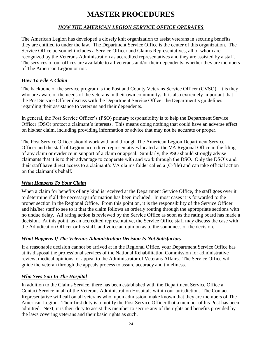# **MASTER PROCEDURES**

# *HOW THE AMERICAN LEGION SERVICE OFFICE OPERATES*

The American Legion has developed a closely knit organization to assist veterans in securing benefits they are entitled to under the law. The Department Service Office is the center of this organization. The Service Office personnel includes a Service Officer and Claims Representatives, all of whom are recognized by the Veterans Administration as accredited representatives and they are assisted by a staff. The services of our offices are available to all veterans and/or their dependents, whether they are members of The American Legion or not.

# *How To File A Claim*

The backbone of the service program is the Post and County Veterans Service Officer (CVSO). It is they who are aware of the needs of the veterans in their own community. It is also extremely important that the Post Service Officer discuss with the Department Service Officer the Department's guidelines regarding their assistance to veterans and their dependents.

In general, the Post Service Officer's (PSO) primary responsibility is to help the Department Service Officer (DSO) protect a claimant's interests. This means doing nothing that could have an adverse effect on his/her claim, including providing information or advice that may not be accurate or proper.

The Post Service Officer should work with and through The American Legion Department Service Officer and the staff of Legion accredited representatives located at the VA Regional Office in the filing of any claim or evidence in support of a claim or appeal. Similarly, the PSO should strongly advise claimants that it is to their advantage to cooperate with and work through the DSO. Only the DSO's and their staff have direct access to a claimant's VA claims folder called a (C-file) and can take official action on the claimant's behalf.

# *What Happens To Your Claim*

When a claim for benefits of any kind is received at the Department Service Office, the staff goes over it to determine if all the necessary information has been included. In most cases it is forwarded to the proper section in the Regional Office. From this point on, it is the responsibility of the Service Officer and his/her staff to see to it that the claim follows an orderly routing through the appropriate sections with no undue delay. All rating action is reviewed by the Service Office as soon as the rating board has made a decision. At this point, as an accredited representative, the Service Office staff may discuss the case with the Adjudication Officer or his staff, and voice an opinion as to the soundness of the decision.

# *What Happens If The Veterans Administration Decision Is Not Satisfactory*

If a reasonable decision cannot be arrived at in the Regional Office, your Department Service Office has at its disposal the professional services of the National Rehabilitation Commission for administrative review, medical opinions, or appeal to the Administrator of Veterans Affairs. The Service Office will guide the veteran through the appeals process to assure accuracy and timeliness.

# *Who Sees You In The Hospital*

In addition to the Claims Service, there has been established with the Department Service Office a Contact Service in all of the Veterans Administration Hospitals within our jurisdiction. The Contact Representative will call on all veterans who, upon admission, make known that they are members of The American Legion. Their first duty is to notify the Post Service Officer that a member of his Post has been admitted. Next, it is their duty to assist this member to secure any of the rights and benefits provided by the laws covering veterans and their basic rights as such.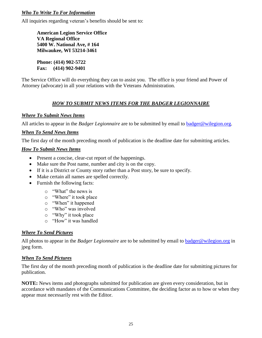# *Who To Write To For Information*

All inquiries regarding veteran's benefits should be sent to:

**American Legion Service Office VA Regional Office 5400 W. National Ave, # 164 Milwaukee, WI 53214-3461**

**Phone: (414) 902-5722 Fax: (414) 902-9401**

The Service Office will do everything they can to assist you. The office is your friend and Power of Attorney (advocate) in all your relations with the Veterans Administration.

# *HOW TO SUBMIT NEWS ITEMS FOR THE BADGER LEGIONNAIRE*

# *Where To Submit News Items*

All articles to appear in the *Badger Legionnaire* are to be submitted by email to **badger@wilegion.org**.

# *When To Send News Items*

The first day of the month preceding month of publication is the deadline date for submitting articles.

# *How To Submit News Items*

- Present a concise, clear-cut report of the happenings.
- Make sure the Post name, number and city is on the copy.
- If it is a District or County story rather than a Post story, be sure to specify.
- Make certain all names are spelled correctly.
- Furnish the following facts:
	- o "What" the news is
	- o "Where" it took place
	- o "When" it happened
	- o "Who" was involved
	- o "Why" it took place
	- o "How" it was handled

# *Where To Send Pictures*

All photos to appear in the *Badger Legionnaire* are to be submitted by email to [badger@wilegion.org](mailto:badger@wilegion.org) in jpeg form.

# *When To Send Pictures*

The first day of the month preceding month of publication is the deadline date for submitting pictures for publication.

**NOTE:** News items and photographs submitted for publication are given every consideration, but in accordance with mandates of the Communications Committee, the deciding factor as to how or when they appear must necessarily rest with the Editor.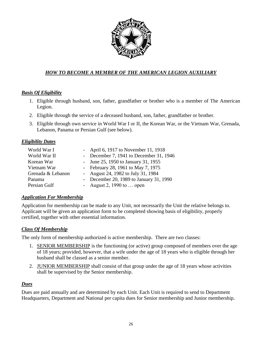

# *HOW TO BECOME A MEMBER OF THE AMERICAN LEGION AUXILIARY*

# *Basis Of Eligibility*

- 1. Eligible through husband, son, father, grandfather or brother who is a member of The American Legion.
- 2. Eligible through the service of a deceased husband, son, father, grandfather or brother.
- 3. Eligible through own service in World War I or II, the Korean War, or the Vietnam War, Grenada, Lebanon, Panama or Persian Gulf (see below).

# *Eligibility Dates*

| World War I       | - April 6, 1917 to November 11, 1918    |
|-------------------|-----------------------------------------|
| World War II      | - December 7, 1941 to December 31, 1946 |
| Korean War        | - June 25, 1950 to January 31, 1955     |
| Vietnam War       | - February 28, 1961 to May 7, 1975      |
| Grenada & Lebanon | - August 24, 1982 to July 31, 1984      |
| Panama            | - December 20, 1989 to January 31, 1990 |
| Persian Gulf      | - August 2, 1990 to  open               |

# *Application For Membership*

Application for membership can be made to any Unit, not necessarily the Unit the relative belongs to. Applicant will be given an application form to be completed showing basis of eligibility, properly certified, together with other essential information.

# *Class Of Membership*

The only form of membership authorized is active membership. There are two classes:

- 1. SENIOR MEMBERSHIP is the functioning (or active) group composed of members over the age of 18 years; provided, however, that a wife under the age of 18 years who is eligible through her husband shall be classed as a senior member.
- 2. JUNIOR MEMBERSHIP shall consist of that group under the age of 18 years whose activities shall be supervised by the Senior membership.

# *Dues*

Dues are paid annually and are determined by each Unit. Each Unit is required to send to Department Headquarters, Department and National per capita dues for Senior membership and Junior membership.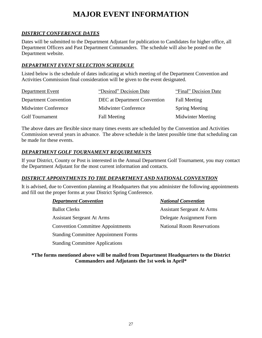# **MAJOR EVENT INFORMATION**

# *DISTRICT CONFERENCE DATES*

Dates will be submitted to the Department Adjutant for publication to Candidates for higher office, all Department Officers and Past Department Commanders. The schedule will also be posted on the Department website.

# *DEPARTMENT EVENT SELECTION SCHEDULE*

Listed below is the schedule of dates indicating at which meeting of the Department Convention and Activities Commission final consideration will be given to the event designated.

| <b>Department Event</b>      | "Desired" Decision Date      | "Final" Decision Date    |
|------------------------------|------------------------------|--------------------------|
| <b>Department Convention</b> | DEC at Department Convention | <b>Fall Meeting</b>      |
| Midwinter Conference         | Midwinter Conference         | <b>Spring Meeting</b>    |
| <b>Golf Tournament</b>       | <b>Fall Meeting</b>          | <b>Midwinter Meeting</b> |

The above dates are flexible since many times events are scheduled by the Convention and Activities Commission several years in advance. The above schedule is the latest possible time that scheduling can be made for these events.

# *DEPARTMENT GOLF TOURNAMENT REQUIREMENTS*

Standing Committee Applications

If your District, County or Post is interested in the Annual Department Golf Tournament, you may contact the Department Adjutant for the most current information and contacts.

# *DISTRICT APPOINTMENTS TO THE DEPARTMENT AND NATIONAL CONVENTION*

It is advised, due to Convention planning at Headquarters that you administer the following appointments and fill out the proper forms at your District Spring Conference.

| <b>Department Convention</b>                | <b>National Convention</b>        |
|---------------------------------------------|-----------------------------------|
| <b>Ballot Clerks</b>                        | <b>Assistant Sergeant At Arms</b> |
| <b>Assistant Sergeant At Arms</b>           | Delegate Assignment Form          |
| <b>Convention Committee Appointments</b>    | <b>National Room Reservations</b> |
| <b>Standing Committee Appointment Forms</b> |                                   |
|                                             |                                   |

**\*The forms mentioned above will be mailed from Department Headquarters to the District Commanders and Adjutants the 1st week in April\***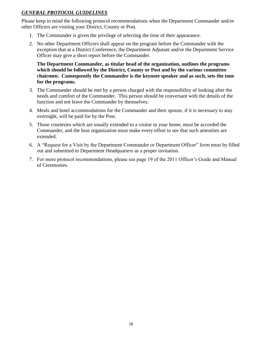# *GENERAL PROTOCOL GUIDELINES*

Please keep in mind the following protocol recommendations when the Department Commander and/or other Officers are visiting your District, County or Post.

- 1. The Commander is given the privilege of selecting the time of their appearance.
- 2. No other Department Officers shall appear on the program before the Commander with the exception that at a District Conference, the Department Adjutant and/or the Department Service Officer may give a short report before the Commander.

**The Department Commander, as titular head of the organization, outlines the programs which should be followed by the District, County or Post and by the various committee chairmen. Consequently the Commander is the keynote speaker and as such, sets the tone for the programs.**

- 3. The Commander should be met by a person charged with the responsibility of looking after the needs and comfort of the Commander. This person should be conversant with the details of the function and not leave the Commander by themselves.
- 4. Meals and hotel accommodations for the Commander and their spouse, if it is necessary to stay overnight, will be paid for by the Post.
- 5. Those courtesies which are usually extended to a visitor in your home, must be accorded the Commander, and the host organization must make every effort to see that such amenities are extended.
- 6. A "Request for a Visit by the Department Commander or Department Officer" form must by filled out and submitted to Department Headquarters as a proper invitation.
- 7. For more protocol recommendations, please see page 19 of the 2011 Officer's Guide and Manual of Ceremonies.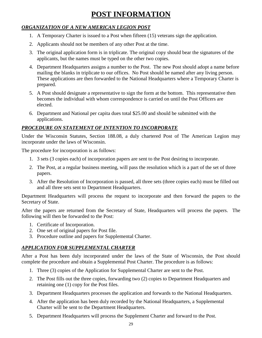# **POST INFORMATION**

# *ORGANIZATION OF A NEW AMERICAN LEGION POST*

- 1. A Temporary Charter is issued to a Post when fifteen (15) veterans sign the application.
- 2. Applicants should not be members of any other Post at the time.
- 3. The original application form is in triplicate. The original copy should bear the signatures of the applicants, but the names must be typed on the other two copies.
- 4. Department Headquarters assigns a number to the Post. The new Post should adopt a name before mailing the blanks in triplicate to our offices. No Post should be named after any living person. These applications are then forwarded to the National Headquarters where a Temporary Charter is prepared.
- 5. A Post should designate a representative to sign the form at the bottom. This representative then becomes the individual with whom correspondence is carried on until the Post Officers are elected.
- 6. Department and National per capita dues total \$25.00 and should be submitted with the applications.

# *PROCEDURE ON STATEMENT OF INTENTION TO INCORPORATE*

Under the Wisconsin Statutes, Section 188.08, a duly chartered Post of The American Legion may incorporate under the laws of Wisconsin.

The procedure for incorporation is as follows:

- 1. 3 sets (3 copies each) of incorporation papers are sent to the Post desiring to incorporate.
- 2. The Post, at a regular business meeting, will pass the resolution which is a part of the set of three papers.
- 3. After the Resolution of Incorporation is passed, all three sets (three copies each) must be filled out and all three sets sent to Department Headquarters.

Department Headquarters will process the request to incorporate and then forward the papers to the Secretary of State.

After the papers are returned from the Secretary of State, Headquarters will process the papers. The following will then be forwarded to the Post:

- 1. Certificate of Incorporation.
- 2. One set of original papers for Post file.
- 3. Procedure outline and papers for Supplemental Charter.

# *APPLICATION FOR SUPPLEMENTAL CHARTER*

After a Post has been duly incorporated under the laws of the State of Wisconsin, the Post should complete the procedure and obtain a Supplemental Post Charter. The procedure is as follows:

- 1. Three (3) copies of the Application for Supplemental Charter are sent to the Post.
- 2. The Post fills out the three copies, forwarding two (2) copies to Department Headquarters and retaining one (1) copy for the Post files.
- 3. Department Headquarters processes the application and forwards to the National Headquarters.
- 4. After the application has been duly recorded by the National Headquarters, a Supplemental Charter will be sent to the Department Headquarters.
- 5. Department Headquarters will process the Supplement Charter and forward to the Post.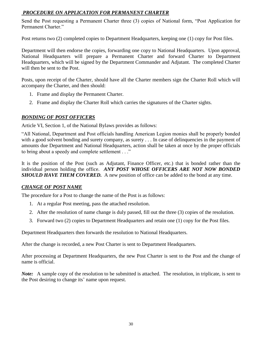# *PROCEDURE ON APPLICATION FOR PERMANENT CHARTER*

Send the Post requesting a Permanent Charter three (3) copies of National form, "Post Application for Permanent Charter."

Post returns two (2) completed copies to Department Headquarters, keeping one (1) copy for Post files.

Department will then endorse the copies, forwarding one copy to National Headquarters. Upon approval, National Headquarters will prepare a Permanent Charter and forward Charter to Department Headquarters, which will be signed by the Department Commander and Adjutant. The completed Charter will then be sent to the Post.

Posts, upon receipt of the Charter, should have all the Charter members sign the Charter Roll which will accompany the Charter, and then should:

- 1. Frame and display the Permanent Charter.
- 2. Frame and display the Charter Roll which carries the signatures of the Charter sights.

# *BONDING OF POST OFFICERS*

Article VI, Section 1, of the National Bylaws provides as follows:

"All National, Department and Post officials handling American Legion monies shall be properly bonded with a good solvent bonding and surety company, as surety . . . In case of delinquencies in the payment of amounts due Department and National Headquarters, action shall be taken at once by the proper officials to bring about a speedy and complete settlement . . ."

It is the position of the Post (such as Adjutant, Finance Officer, etc.) that is bonded rather than the individual person holding the office. *ANY POST WHOSE OFFICERS ARE NOT NOW BONDED SHOULD HAVE THEM COVERED.* A new position of office can be added to the bond at any time.

# *CHANGE OF POST NAME*

The procedure for a Post to change the name of the Post is as follows:

- 1. At a regular Post meeting, pass the attached resolution.
- 2. After the resolution of name change is duly passed, fill out the three (3) copies of the resolution.
- 3. Forward two (2) copies to Department Headquarters and retain one (1) copy for the Post files.

Department Headquarters then forwards the resolution to National Headquarters.

After the change is recorded, a new Post Charter is sent to Department Headquarters.

After processing at Department Headquarters, the new Post Charter is sent to the Post and the change of name is official.

*Note:* A sample copy of the resolution to be submitted is attached. The resolution, in triplicate, is sent to the Post desiring to change its' name upon request.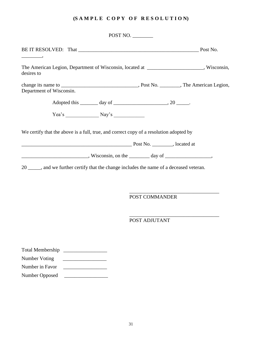# **(S A M P L E C O P Y O F R E S O L U T I O N)**

|                                                                                                                                                                     | POST NO.       |  |
|---------------------------------------------------------------------------------------------------------------------------------------------------------------------|----------------|--|
|                                                                                                                                                                     |                |  |
| The American Legion, Department of Wisconsin, located at ____________________, Wisconsin,<br>desires to                                                             |                |  |
| Department of Wisconsin.                                                                                                                                            |                |  |
|                                                                                                                                                                     |                |  |
|                                                                                                                                                                     |                |  |
| $\frac{1}{1}$ , Wisconsin, on the $\frac{1}{1}$ day of $\frac{1}{1}$ ,<br>20 _____, and we further certify that the change includes the name of a deceased veteran. |                |  |
|                                                                                                                                                                     | POST COMMANDER |  |
|                                                                                                                                                                     | POST ADJUTANT  |  |
| Total Membership<br><b>Number Voting</b><br>Number in Favor<br>Number Opposed                                                                                       |                |  |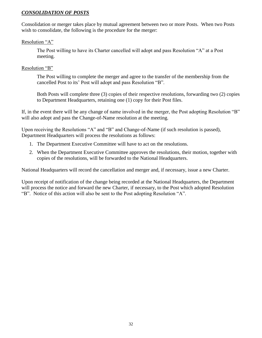# *CONSOLIDATION OF POSTS*

Consolidation or merger takes place by mutual agreement between two or more Posts. When two Posts wish to consolidate, the following is the procedure for the merger:

# Resolution "A"

The Post willing to have its Charter cancelled will adopt and pass Resolution "A" at a Post meeting.

# Resolution "B"

The Post willing to complete the merger and agree to the transfer of the membership from the cancelled Post to its' Post will adopt and pass Resolution "B".

Both Posts will complete three (3) copies of their respective resolutions, forwarding two (2) copies to Department Headquarters, retaining one (1) copy for their Post files.

If, in the event there will be any change of name involved in the merger, the Post adopting Resolution "B" will also adopt and pass the Change-of-Name resolution at the meeting.

Upon receiving the Resolutions "A" and "B" and Change-of-Name (if such resolution is passed), Department Headquarters will process the resolutions as follows:

- 1. The Department Executive Committee will have to act on the resolutions.
- 2. When the Department Executive Committee approves the resolutions, their motion, together with copies of the resolutions, will be forwarded to the National Headquarters.

National Headquarters will record the cancellation and merger and, if necessary, issue a new Charter.

Upon receipt of notification of the change being recorded at the National Headquarters, the Department will process the notice and forward the new Charter, if necessary, to the Post which adopted Resolution "B". Notice of this action will also be sent to the Post adopting Resolution "A".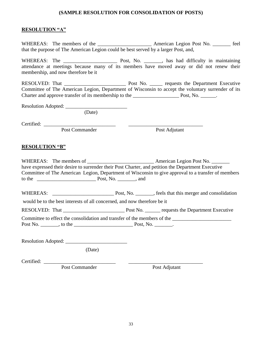## **(SAMPLE RESOLUTION FOR CONSOLIDATION OF POSTS)**

# **RESOLUTION "A"**

WHEREAS: The members of the \_\_\_\_\_\_\_\_\_\_\_\_\_\_\_\_\_\_\_\_\_\_\_ American Legion Post No. \_\_\_\_\_\_\_ feel that the purpose of The American Legion could be best served by a larger Post, and,

WHEREAS: The \_\_\_\_\_\_\_\_\_\_\_\_\_\_\_\_\_\_\_\_\_ Post, No. \_\_\_\_\_\_\_, has had difficulty in maintaining attendance at meetings because many of its members have moved away or did not renew their membership, and now therefore be it

RESOLVED: That \_\_\_\_\_\_\_\_\_\_\_\_\_\_\_\_\_\_\_\_\_\_\_\_ Post No. \_\_\_\_\_ requests the Department Executive Committee of The American Legion, Department of Wisconsin to accept the voluntary surrender of its Charter and approve transfer of its membership to the \_\_\_\_\_\_\_\_\_\_\_\_\_\_\_\_\_\_ Post, No. \_\_\_\_\_\_.

Resolution Adopted: \_\_\_\_\_\_\_\_\_\_\_\_\_\_\_\_\_\_\_\_\_\_\_\_

(Date)

Certified: \_\_\_\_\_\_\_\_\_\_\_\_\_\_\_\_\_\_\_\_\_\_\_\_\_\_\_\_ \_\_\_\_\_\_\_\_\_\_\_\_\_\_\_\_\_\_\_\_\_\_\_\_\_\_\_\_\_

Post Commander Post Adjutant

## **RESOLUTION "B"**

WHEREAS: The members of \_\_\_\_\_\_\_\_\_\_\_\_\_\_\_\_\_\_\_\_\_\_\_\_\_\_ American Legion Post No. \_\_\_\_\_\_\_ have expressed their desire to surrender their Post Charter, and petition the Department Executive Committee of The American Legion, Department of Wisconsin to give approval to a transfer of members to the **EXECUTE:** Post, No. \_\_\_\_\_\_, and WHEREAS: Post, No. , feels that this merger and consolidation would be to the best interests of all concerned, and now therefore be it RESOLVED: That \_\_\_\_\_\_\_\_\_\_\_\_\_\_\_\_\_\_\_\_\_\_\_\_ Post No. \_\_\_\_\_\_ requests the Department Executive Committee to effect the consolidation and transfer of the members of the \_\_\_\_\_\_\_\_\_\_\_\_\_\_\_\_\_\_\_\_\_\_\_ Post No. \_\_\_\_\_\_\_, to the \_\_\_\_\_\_\_\_\_\_\_\_\_\_\_\_\_\_\_\_\_\_\_ Post, No. \_\_\_\_\_\_\_.

Resolution Adopted: \_\_\_\_\_\_\_\_\_\_\_\_\_\_\_\_\_\_\_\_\_\_\_\_

(Date)

Certified: \_\_\_\_\_\_\_\_\_\_\_\_\_\_\_\_\_\_\_\_\_\_\_\_\_\_\_\_ \_\_\_\_\_\_\_\_\_\_\_\_\_\_\_\_\_\_\_\_\_\_\_\_\_\_\_\_\_

Post Commander Post Adjutant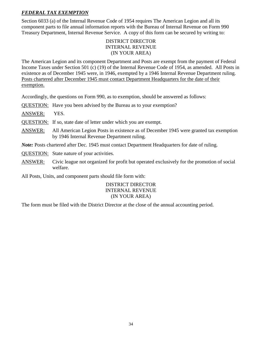# *FEDERAL TAX EXEMPTION*

Section 6033 (a) of the Internal Revenue Code of 1954 requires The American Legion and all its component parts to file annual information reports with the Bureau of Internal Revenue on Form 990 Treasury Department, Internal Revenue Service. A copy of this form can be secured by writing to:

# DISTRICT DIRECTOR INTERNAL REVENUE (IN YOUR AREA)

The American Legion and its component Department and Posts are exempt from the payment of Federal Income Taxes under Section 501 (c) (19) of the Internal Revenue Code of 1954, as amended. All Posts in existence as of December 1945 were, in 1946, exempted by a 1946 Internal Revenue Department ruling. Posts chartered after December 1945 must contact Department Headquarters for the date of their exemption.

Accordingly, the questions on Form 990, as to exemption, should be answered as follows:

QUESTION: Have you been advised by the Bureau as to your exemption?

ANSWER: YES.

QUESTION: If so, state date of letter under which you are exempt.

ANSWER: All American Legion Posts in existence as of December 1945 were granted tax exemption by 1946 Internal Revenue Department ruling.

*Note:* Posts chartered after Dec. 1945 must contact Department Headquarters for date of ruling.

QUESTION: State nature of your activities.

ANSWER: Civic league not organized for profit but operated exclusively for the promotion of social welfare.

All Posts, Units, and component parts should file form with:

# DISTRICT DIRECTOR INTERNAL REVENUE (IN YOUR AREA)

The form must be filed with the District Director at the close of the annual accounting period.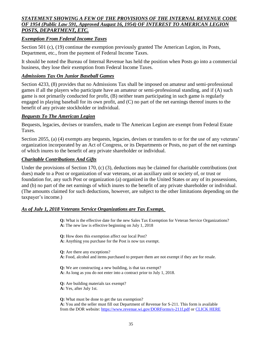# *STATEMENT SHOWING A FEW OF THE PROVISIONS OF THE INTERNAL REVENUE CODE OF 1954 (Public Law 591, Approved August 16, 1954) OF INTEREST TO AMERICAN LEGION POSTS, DEPARTMENT, ETC.*

# *Exemption From Federal Income Taxes*

Section 501 (c), (19) continue the exemption previously granted The American Legion, its Posts, Department, etc., from the payment of Federal Income Taxes.

It should be noted the Bureau of Internal Revenue has held the position when Posts go into a commercial business, they lose their exemption from Federal Income Taxes.

# *Admissions Tax On Junior Baseball Games*

Section 4233, (8) provides that no Admissions Tax shall be imposed on amateur and semi-professional games if all the players who participate have an amateur or semi-professional standing, and if (A) such game is not primarily conducted for profit, (B) neither team participating in such game is regularly engaged in playing baseball for its own profit, and (C) no part of the net earnings thereof inures to the benefit of any private stockholder or individual.

# *Bequests To The American Legion*

Bequests, legacies, devises or transfers, made to The American Legion are exempt from Federal Estate Taxes.

Section 2055, (a) (4) exempts any bequests, legacies, devises or transfers to or for the use of any veterans' organization incorporated by an Act of Congress, or its Departments or Posts, no part of the net earnings of which inures to the benefit of any private shareholder or individual.

# *Charitable Contributions And Gifts*

Under the provisions of Section 170, (c) (3), deductions may be claimed for charitable contributions (not dues) made to a Post or organization of war veterans, or an auxiliary unit or society of, or trust or foundation for, any such Post or organization (a) organized in the United States or any of its possessions, and (b) no part of the net earnings of which inures to the benefit of any private shareholder or individual. (The amounts claimed for such deductions, however, are subject to the other limitations depending on the taxpayer's income.)

# *As of July 1, 2018 Veterans Service Organizations are Tax Exempt.*

**Q:** What is the effective date for the new Sales Tax Exemption for Veteran Service Organizations? **A:** The new law is effective beginning on July 1, 2018

**Q:** How does this exemption affect our local Post? **A:** Anything you purchase for the Post is now tax exempt.

**Q:** Are there any exceptions? **A:** Food, alcohol and items purchased to prepare them are not exempt if they are for resale.

**Q:** We are constructing a new building, is that tax exempt? **A:** As long as you do not enter into a contract prior to July 1, 2018.

**Q:** Are building materials tax exempt? **A:** Yes, after July 1st.

**Q:** What must be done to get the tax exemption? **A:** You and the seller must fill out Department of Revenue for S-211. This form is available from the DOR website:<https://www.revenue.wi.gov/DORForms/s-211f.pdf> or [CLICK HERE](http://wilegion.org/view/document/wi_american_legion_fill_in_s-211f.pdf)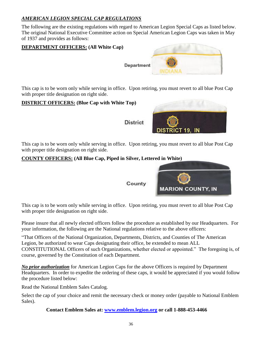# *AMERICAN LEGION SPECIAL CAP REGULATIONS*

The following are the existing regulations with regard to American Legion Special Caps as listed below. The original National Executive Committee action on Special American Legion Caps was taken in May of 1937 and provides as follows:



This cap is to be worn only while serving in office. Upon retiring, you must revert to all blue Post Cap with proper title designation on right side.

# **DISTRICT OFFICERS: (Blue Cap with White Top)**

**District** 



This cap is to be worn only while serving in office. Upon retiring, you must revert to all blue Post Cap with proper title designation on right side.

# **COUNTY OFFICERS: (All Blue Cap, Piped in Silver, Lettered in White)**



County

This cap is to be worn only while serving in office. Upon retiring, you must revert to all blue Post Cap with proper title designation on right side.

Please insure that all newly elected officers follow the procedure as established by our Headquarters. For your information, the following are the National regulations relative to the above officers:

"That Officers of the National Organization, Departments, Districts, and Counties of The American Legion, be authorized to wear Caps designating their office, be extended to mean ALL CONSTITUTIONAL Officers of such Organizations, whether elected or appointed." The foregoing is, of course, governed by the Constitution of each Department.

*No prior authorization* for American Legion Caps for the above Officers is required by Department Headquarters. In order to expedite the ordering of these caps, it would be appreciated if you would follow the procedure listed below:

Read the National Emblem Sales Catalog.

Select the cap of your choice and remit the necessary check or money order (payable to National Emblem Sales).

**Contact Emblem Sales at: [www.emblem.legion.org](http://www.emblem.legion.org/) or call 1-888-453-4466**